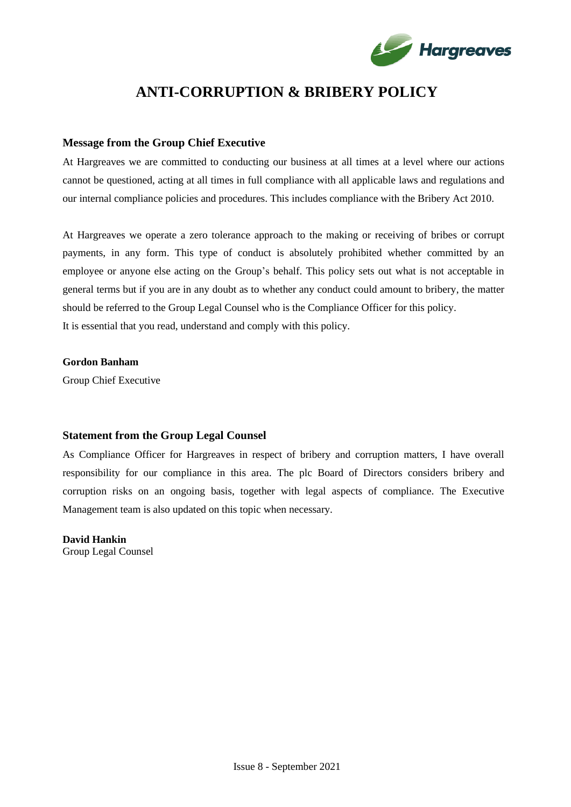

# **ANTI-CORRUPTION & BRIBERY POLICY**

## **Message from the Group Chief Executive**

At Hargreaves we are committed to conducting our business at all times at a level where our actions cannot be questioned, acting at all times in full compliance with all applicable laws and regulations and our internal compliance policies and procedures. This includes compliance with the Bribery Act 2010.

At Hargreaves we operate a zero tolerance approach to the making or receiving of bribes or corrupt payments, in any form. This type of conduct is absolutely prohibited whether committed by an employee or anyone else acting on the Group's behalf. This policy sets out what is not acceptable in general terms but if you are in any doubt as to whether any conduct could amount to bribery, the matter should be referred to the Group Legal Counsel who is the Compliance Officer for this policy. It is essential that you read, understand and comply with this policy.

## **Gordon Banham**

Group Chief Executive

## **Statement from the Group Legal Counsel**

As Compliance Officer for Hargreaves in respect of bribery and corruption matters, I have overall responsibility for our compliance in this area. The plc Board of Directors considers bribery and corruption risks on an ongoing basis, together with legal aspects of compliance. The Executive Management team is also updated on this topic when necessary.

**David Hankin** Group Legal Counsel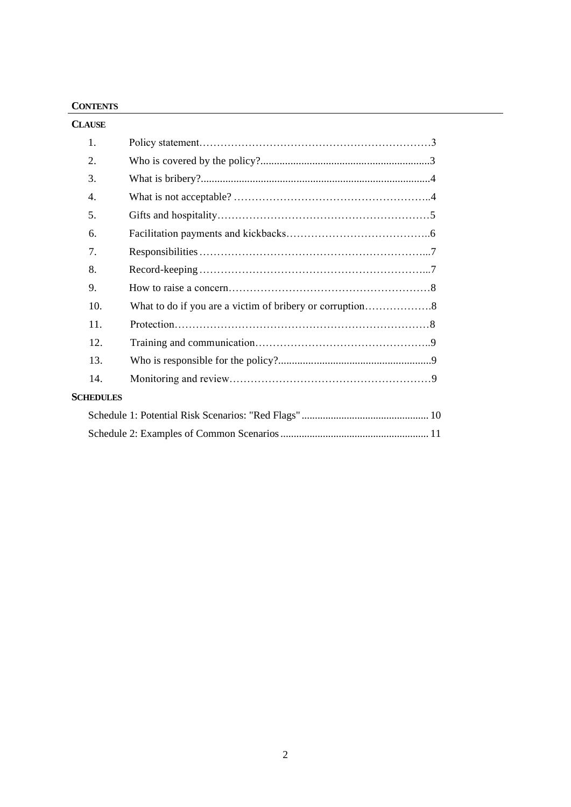## **CONTENTS**

| <b>CLAUSE</b>    |  |
|------------------|--|
| 1.               |  |
| 2.               |  |
| 3.               |  |
| 4.               |  |
| 5.               |  |
| 6.               |  |
| 7 <sub>1</sub>   |  |
| 8.               |  |
| 9.               |  |
| 10.              |  |
| 11.              |  |
| 12.              |  |
| 13.              |  |
| 14.              |  |
| <b>SCHEDULES</b> |  |
|                  |  |
|                  |  |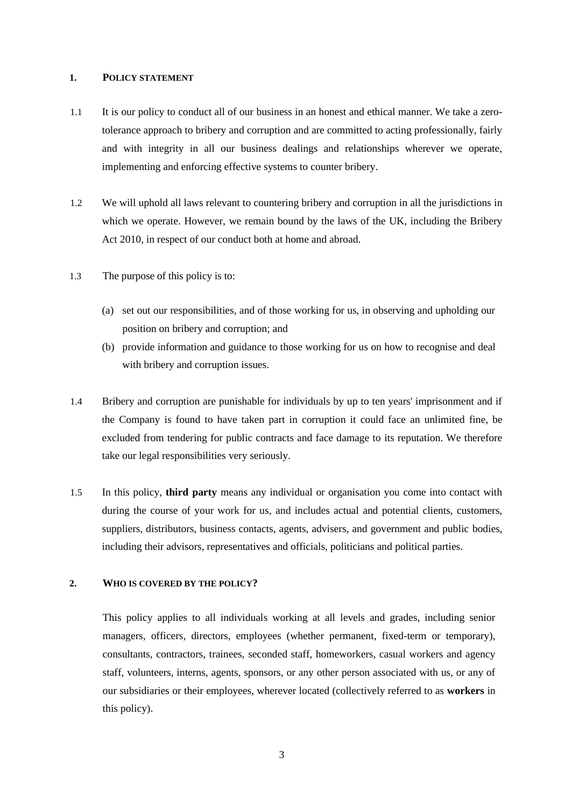#### **1. POLICY STATEMENT**

- 1.1 It is our policy to conduct all of our business in an honest and ethical manner. We take a zerotolerance approach to bribery and corruption and are committed to acting professionally, fairly and with integrity in all our business dealings and relationships wherever we operate, implementing and enforcing effective systems to counter bribery.
- 1.2 We will uphold all laws relevant to countering bribery and corruption in all the jurisdictions in which we operate. However, we remain bound by the laws of the UK, including the Bribery Act 2010, in respect of our conduct both at home and abroad.
- 1.3 The purpose of this policy is to:
	- (a) set out our responsibilities, and of those working for us, in observing and upholding our position on bribery and corruption; and
	- (b) provide information and guidance to those working for us on how to recognise and deal with bribery and corruption issues.
- 1.4 Bribery and corruption are punishable for individuals by up to ten years' imprisonment and if the Company is found to have taken part in corruption it could face an unlimited fine, be excluded from tendering for public contracts and face damage to its reputation. We therefore take our legal responsibilities very seriously.
- 1.5 In this policy, **third party** means any individual or organisation you come into contact with during the course of your work for us, and includes actual and potential clients, customers, suppliers, distributors, business contacts, agents, advisers, and government and public bodies, including their advisors, representatives and officials, politicians and political parties.

## **2. WHO IS COVERED BY THE POLICY?**

This policy applies to all individuals working at all levels and grades, including senior managers, officers, directors, employees (whether permanent, fixed-term or temporary), consultants, contractors, trainees, seconded staff, homeworkers, casual workers and agency staff, volunteers, interns, agents, sponsors, or any other person associated with us, or any of our subsidiaries or their employees, wherever located (collectively referred to as **workers** in this policy).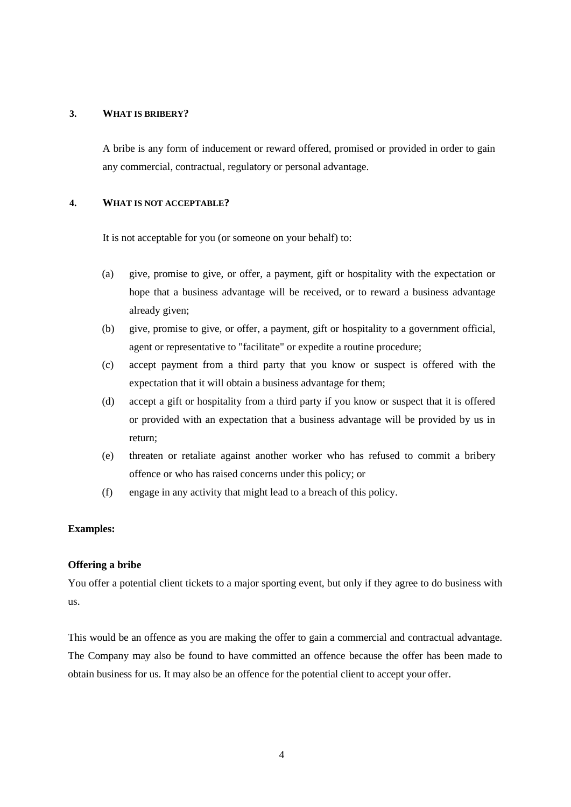#### **3. WHAT IS BRIBERY?**

A bribe is any form of inducement or reward offered, promised or provided in order to gain any commercial, contractual, regulatory or personal advantage.

#### **4. WHAT IS NOT ACCEPTABLE?**

It is not acceptable for you (or someone on your behalf) to:

- (a) give, promise to give, or offer, a payment, gift or hospitality with the expectation or hope that a business advantage will be received, or to reward a business advantage already given;
- (b) give, promise to give, or offer, a payment, gift or hospitality to a government official, agent or representative to "facilitate" or expedite a routine procedure;
- (c) accept payment from a third party that you know or suspect is offered with the expectation that it will obtain a business advantage for them;
- (d) accept a gift or hospitality from a third party if you know or suspect that it is offered or provided with an expectation that a business advantage will be provided by us in return;
- (e) threaten or retaliate against another worker who has refused to commit a bribery offence or who has raised concerns under this policy; or
- (f) engage in any activity that might lead to a breach of this policy.

### **Examples:**

#### **Offering a bribe**

You offer a potential client tickets to a major sporting event, but only if they agree to do business with us.

This would be an offence as you are making the offer to gain a commercial and contractual advantage. The Company may also be found to have committed an offence because the offer has been made to obtain business for us. It may also be an offence for the potential client to accept your offer.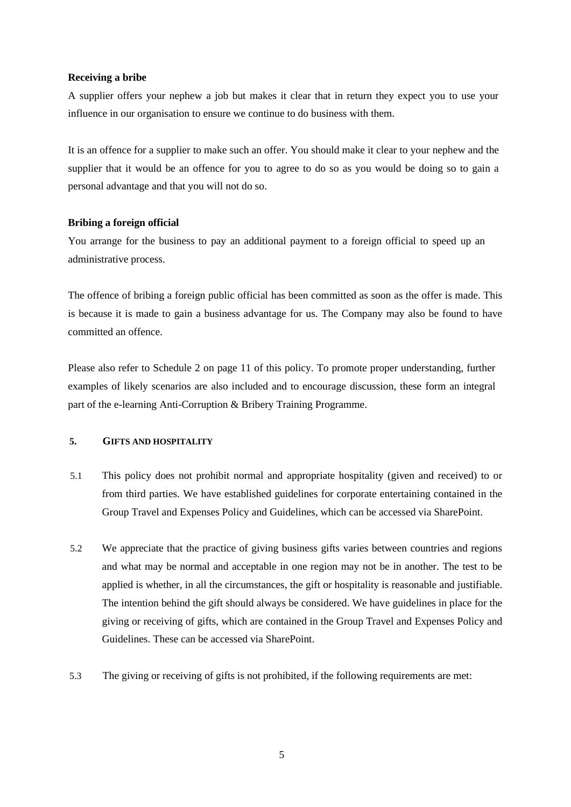#### **Receiving a bribe**

A supplier offers your nephew a job but makes it clear that in return they expect you to use your influence in our organisation to ensure we continue to do business with them.

It is an offence for a supplier to make such an offer. You should make it clear to your nephew and the supplier that it would be an offence for you to agree to do so as you would be doing so to gain a personal advantage and that you will not do so.

#### **Bribing a foreign official**

You arrange for the business to pay an additional payment to a foreign official to speed up an administrative process.

The offence of bribing a foreign public official has been committed as soon as the offer is made. This is because it is made to gain a business advantage for us. The Company may also be found to have committed an offence.

Please also refer to Schedule 2 on page 11 of this policy. To promote proper understanding, further examples of likely scenarios are also included and to encourage discussion, these form an integral part of the e-learning Anti-Corruption & Bribery Training Programme.

## **5. GIFTS AND HOSPITALITY**

- 5.1 This policy does not prohibit normal and appropriate hospitality (given and received) to or from third parties. We have established guidelines for corporate entertaining contained in the Group Travel and Expenses Policy and Guidelines, which can be accessed via SharePoint.
- 5.2 We appreciate that the practice of giving business gifts varies between countries and regions and what may be normal and acceptable in one region may not be in another. The test to be applied is whether, in all the circumstances, the gift or hospitality is reasonable and justifiable. The intention behind the gift should always be considered. We have guidelines in place for the giving or receiving of gifts, which are contained in the Group Travel and Expenses Policy and Guidelines. These can be accessed via SharePoint.
- 5.3 The giving or receiving of gifts is not prohibited, if the following requirements are met: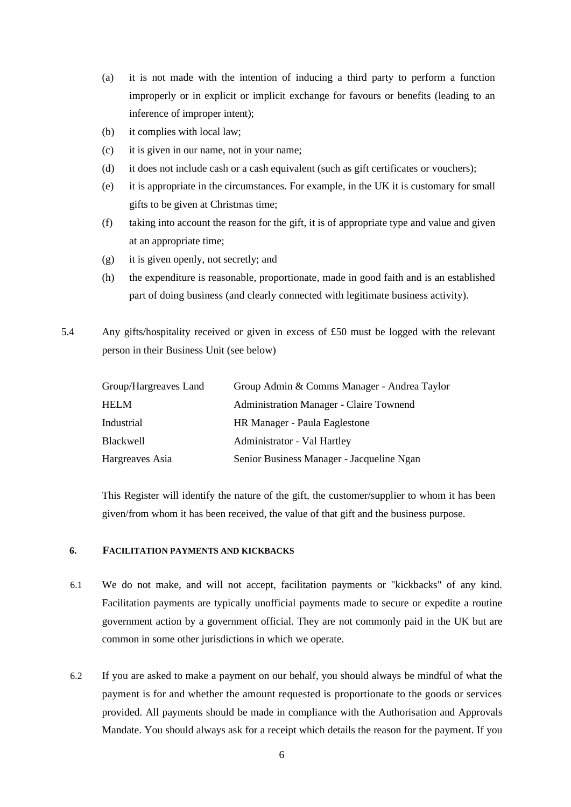- (a) it is not made with the intention of inducing a third party to perform a function improperly or in explicit or implicit exchange for favours or benefits (leading to an inference of improper intent);
- (b) it complies with local law;
- (c) it is given in our name, not in your name;
- (d) it does not include cash or a cash equivalent (such as gift certificates or vouchers);
- (e) it is appropriate in the circumstances. For example, in the UK it is customary for small gifts to be given at Christmas time;
- (f) taking into account the reason for the gift, it is of appropriate type and value and given at an appropriate time;
- (g) it is given openly, not secretly; and
- (h) the expenditure is reasonable, proportionate, made in good faith and is an established part of doing business (and clearly connected with legitimate business activity).
- 5.4 Any gifts/hospitality received or given in excess of £50 must be logged with the relevant person in their Business Unit (see below)

| Group/Hargreaves Land | Group Admin & Comms Manager - Andrea Taylor    |
|-----------------------|------------------------------------------------|
| <b>HELM</b>           | <b>Administration Manager - Claire Townend</b> |
| Industrial            | HR Manager - Paula Eaglestone                  |
| Blackwell             | Administrator - Val Hartley                    |
| Hargreaves Asia       | Senior Business Manager - Jacqueline Ngan      |

This Register will identify the nature of the gift, the customer/supplier to whom it has been given/from whom it has been received, the value of that gift and the business purpose.

## **6. FACILITATION PAYMENTS AND KICKBACKS**

- 6.1 We do not make, and will not accept, facilitation payments or "kickbacks" of any kind. Facilitation payments are typically unofficial payments made to secure or expedite a routine government action by a government official. They are not commonly paid in the UK but are common in some other jurisdictions in which we operate.
- 6.2 If you are asked to make a payment on our behalf, you should always be mindful of what the payment is for and whether the amount requested is proportionate to the goods or services provided. All payments should be made in compliance with the Authorisation and Approvals Mandate. You should always ask for a receipt which details the reason for the payment. If you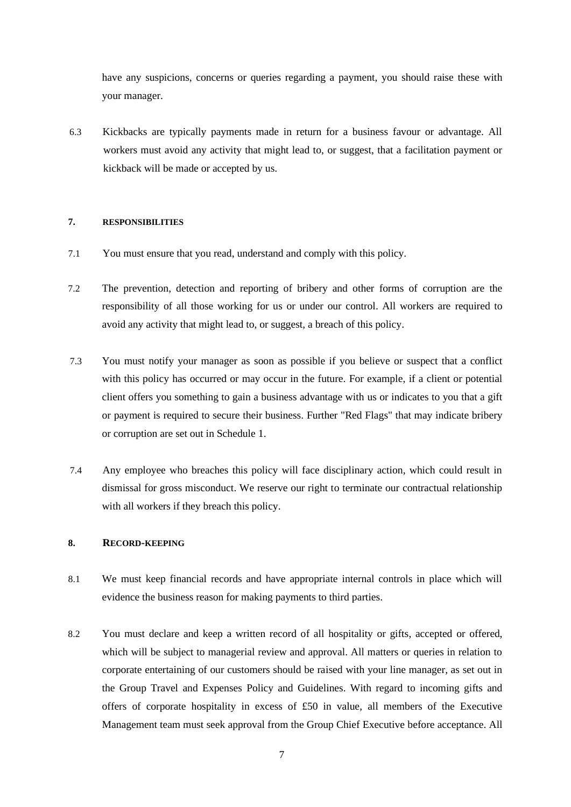have any suspicions, concerns or queries regarding a payment, you should raise these with your manager.

6.3 Kickbacks are typically payments made in return for a business favour or advantage. All workers must avoid any activity that might lead to, or suggest, that a facilitation payment or kickback will be made or accepted by us.

## **7. RESPONSIBILITIES**

- 7.1 You must ensure that you read, understand and comply with this policy.
- 7.2 The prevention, detection and reporting of bribery and other forms of corruption are the responsibility of all those working for us or under our control. All workers are required to avoid any activity that might lead to, or suggest, a breach of this policy.
- 7.3 You must notify your manager as soon as possible if you believe or suspect that a conflict with this policy has occurred or may occur in the future. For example, if a client or potential client offers you something to gain a business advantage with us or indicates to you that a gift or payment is required to secure their business. Further "Red Flags" that may indicate bribery or corruption are set out in Schedule 1.
- 7.4 Any employee who breaches this policy will face disciplinary action, which could result in dismissal for gross misconduct. We reserve our right to terminate our contractual relationship with all workers if they breach this policy.

## **8. RECORD-KEEPING**

- 8.1 We must keep financial records and have appropriate internal controls in place which will evidence the business reason for making payments to third parties.
- 8.2 You must declare and keep a written record of all hospitality or gifts, accepted or offered, which will be subject to managerial review and approval. All matters or queries in relation to corporate entertaining of our customers should be raised with your line manager, as set out in the Group Travel and Expenses Policy and Guidelines. With regard to incoming gifts and offers of corporate hospitality in excess of £50 in value, all members of the Executive Management team must seek approval from the Group Chief Executive before acceptance. All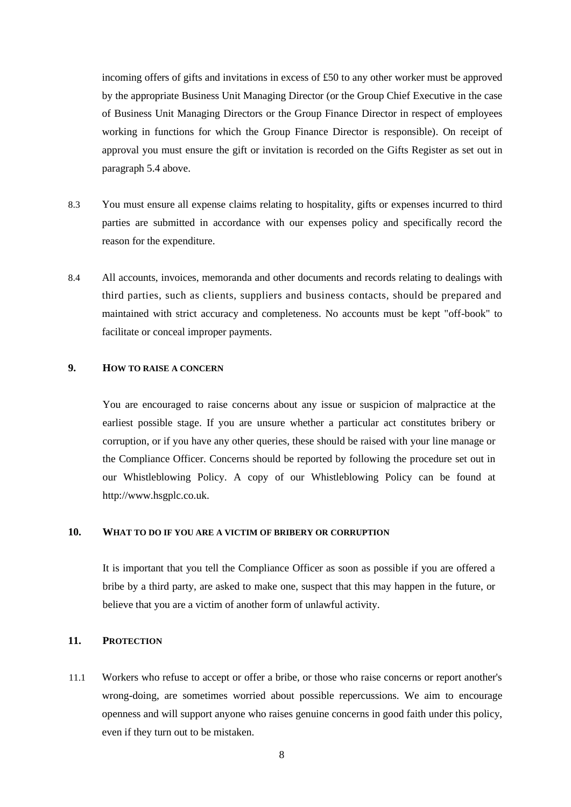incoming offers of gifts and invitations in excess of £50 to any other worker must be approved by the appropriate Business Unit Managing Director (or the Group Chief Executive in the case of Business Unit Managing Directors or the Group Finance Director in respect of employees working in functions for which the Group Finance Director is responsible). On receipt of approval you must ensure the gift or invitation is recorded on the Gifts Register as set out in paragraph 5.4 above.

- 8.3 You must ensure all expense claims relating to hospitality, gifts or expenses incurred to third parties are submitted in accordance with our expenses policy and specifically record the reason for the expenditure.
- 8.4 All accounts, invoices, memoranda and other documents and records relating to dealings with third parties, such as clients, suppliers and business contacts, should be prepared and maintained with strict accuracy and completeness. No accounts must be kept "off-book" to facilitate or conceal improper payments.

## **9. HOW TO RAISE A CONCERN**

You are encouraged to raise concerns about any issue or suspicion of malpractice at the earliest possible stage. If you are unsure whether a particular act constitutes bribery or corruption, or if you have any other queries, these should be raised with your line manage or the Compliance Officer. Concerns should be reported by following the procedure set out in our Whistleblowing Policy. A copy of our Whistleblowing Policy can be found at [http://www.hsgplc.co.uk.](http://www.hsgplc.co.uk/)

## **10. WHAT TO DO IF YOU ARE A VICTIM OF BRIBERY OR CORRUPTION**

It is important that you tell the Compliance Officer as soon as possible if you are offered a bribe by a third party, are asked to make one, suspect that this may happen in the future, or believe that you are a victim of another form of unlawful activity.

#### **11. PROTECTION**

11.1 Workers who refuse to accept or offer a bribe, or those who raise concerns or report another's wrong-doing, are sometimes worried about possible repercussions. We aim to encourage openness and will support anyone who raises genuine concerns in good faith under this policy, even if they turn out to be mistaken.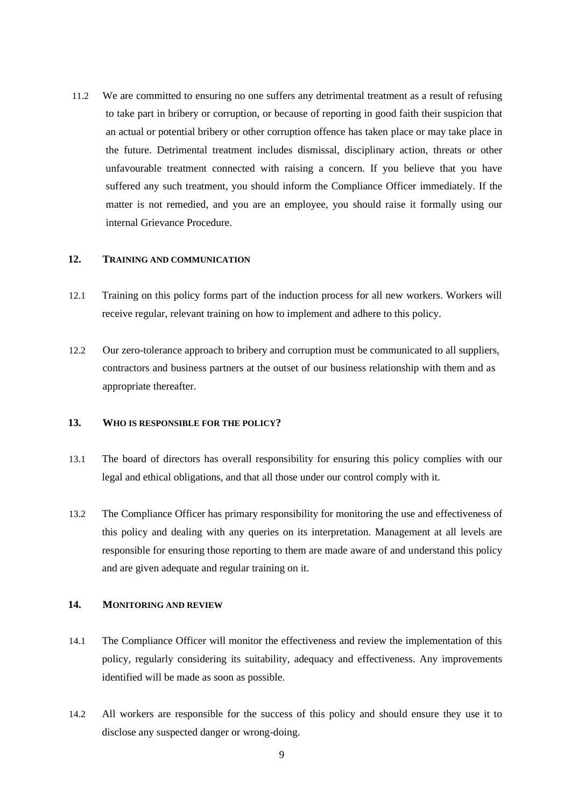11.2 We are committed to ensuring no one suffers any detrimental treatment as a result of refusing to take part in bribery or corruption, or because of reporting in good faith their suspicion that an actual or potential bribery or other corruption offence has taken place or may take place in the future. Detrimental treatment includes dismissal, disciplinary action, threats or other unfavourable treatment connected with raising a concern. If you believe that you have suffered any such treatment, you should inform the Compliance Officer immediately. If the matter is not remedied, and you are an employee, you should raise it formally using our internal Grievance Procedure.

## **12. TRAINING AND COMMUNICATION**

- 12.1 Training on this policy forms part of the induction process for all new workers. Workers will receive regular, relevant training on how to implement and adhere to this policy.
- 12.2 Our zero-tolerance approach to bribery and corruption must be communicated to all suppliers, contractors and business partners at the outset of our business relationship with them and as appropriate thereafter.

#### **13. WHO IS RESPONSIBLE FOR THE POLICY?**

- 13.1 The board of directors has overall responsibility for ensuring this policy complies with our legal and ethical obligations, and that all those under our control comply with it.
- 13.2 The Compliance Officer has primary responsibility for monitoring the use and effectiveness of this policy and dealing with any queries on its interpretation. Management at all levels are responsible for ensuring those reporting to them are made aware of and understand this policy and are given adequate and regular training on it.

## **14. MONITORING AND REVIEW**

- 14.1 The Compliance Officer will monitor the effectiveness and review the implementation of this policy, regularly considering its suitability, adequacy and effectiveness. Any improvements identified will be made as soon as possible.
- 14.2 All workers are responsible for the success of this policy and should ensure they use it to disclose any suspected danger or wrong-doing.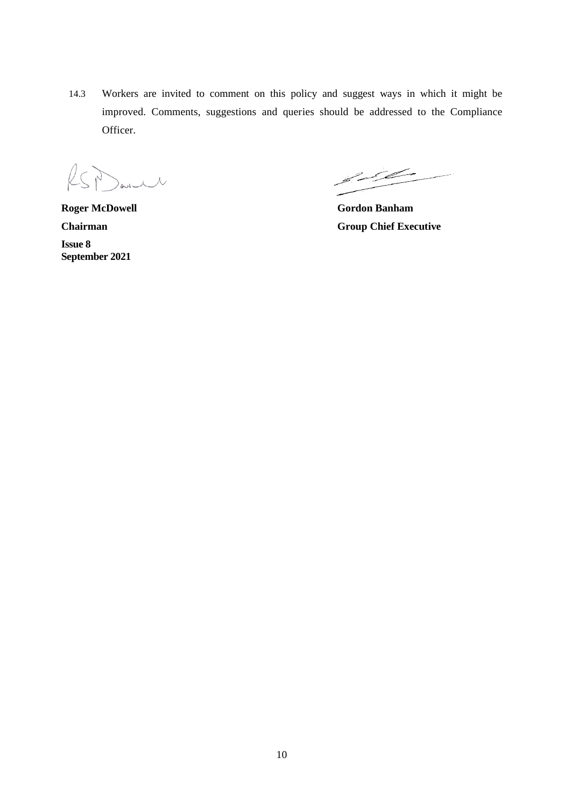14.3 Workers are invited to comment on this policy and suggest ways in which it might be improved. Comments, suggestions and queries should be addressed to the Compliance Officer.

 $\ell$ will

**Roger McDowell Gordon Banham Issue 8 September 2021**

 $\mathscr{S}^{\mathscr{S}}$ سيسب

**Chairman Group Chief Executive**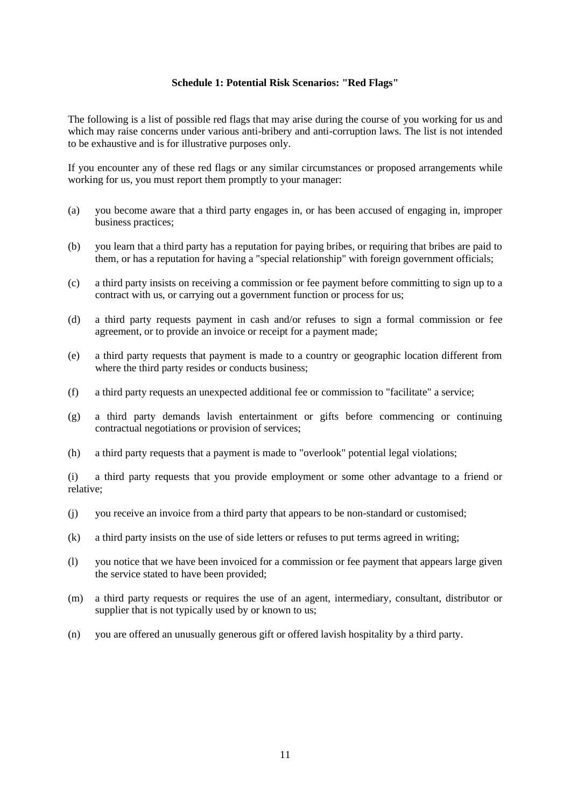#### **Schedule 1: Potential Risk Scenarios: "Red Flags"**

The following is a list of possible red flags that may arise during the course of you working for us and which may raise concerns under various anti-bribery and anti-corruption laws. The list is not intended to be exhaustive and is for illustrative purposes only.

If you encounter any of these red flags or any similar circumstances or proposed arrangements while working for us, you must report them promptly to your manager:

- (a) you become aware that a third party engages in, or has been accused of engaging in, improper business practices;
- (b) you learn that a third party has a reputation for paying bribes, or requiring that bribes are paid to them, or has a reputation for having a "special relationship" with foreign government officials;
- (c) a third party insists on receiving a commission or fee payment before committing to sign up to a contract with us, or carrying out a government function or process for us;
- (d) a third party requests payment in cash and/or refuses to sign a formal commission or fee agreement, or to provide an invoice or receipt for a payment made;
- (e) a third party requests that payment is made to a country or geographic location different from where the third party resides or conducts business;
- (f) a third party requests an unexpected additional fee or commission to "facilitate" a service;
- (g) a third party demands lavish entertainment or gifts before commencing or continuing contractual negotiations or provision of services;
- (h) a third party requests that a payment is made to "overlook" potential legal violations;

(i) a third party requests that you provide employment or some other advantage to a friend or relative;

- (j) you receive an invoice from a third party that appears to be non-standard or customised;
- (k) a third party insists on the use of side letters or refuses to put terms agreed in writing;
- (l) you notice that we have been invoiced for a commission or fee payment that appears large given the service stated to have been provided;
- (m) a third party requests or requires the use of an agent, intermediary, consultant, distributor or supplier that is not typically used by or known to us;
- (n) you are offered an unusually generous gift or offered lavish hospitality by a third party.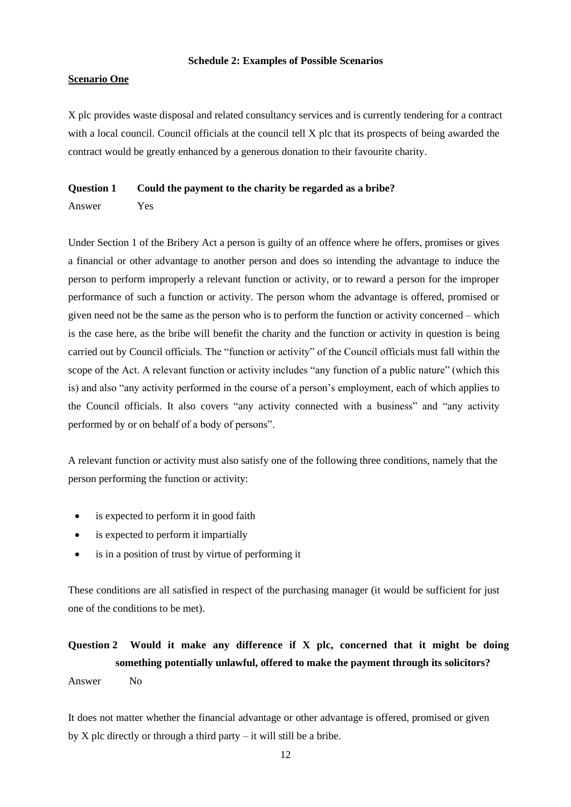#### **Schedule 2: Examples of Possible Scenarios**

## **Scenario One**

X plc provides waste disposal and related consultancy services and is currently tendering for a contract with a local council. Council officials at the council tell X plc that its prospects of being awarded the contract would be greatly enhanced by a generous donation to their favourite charity.

#### **Question 1 Could the payment to the charity be regarded as a bribe?**

Answer Yes

Under Section 1 of the Bribery Act a person is guilty of an offence where he offers, promises or gives a financial or other advantage to another person and does so intending the advantage to induce the person to perform improperly a relevant function or activity, or to reward a person for the improper performance of such a function or activity. The person whom the advantage is offered, promised or given need not be the same as the person who is to perform the function or activity concerned – which is the case here, as the bribe will benefit the charity and the function or activity in question is being carried out by Council officials. The "function or activity" of the Council officials must fall within the scope of the Act. A relevant function or activity includes "any function of a public nature" (which this is) and also "any activity performed in the course of a person's employment, each of which applies to the Council officials. It also covers "any activity connected with a business" and "any activity performed by or on behalf of a body of persons".

A relevant function or activity must also satisfy one of the following three conditions, namely that the person performing the function or activity:

- is expected to perform it in good faith
- is expected to perform it impartially
- is in a position of trust by virtue of performing it

These conditions are all satisfied in respect of the purchasing manager (it would be sufficient for just one of the conditions to be met).

# **Question 2 Would it make any difference if X plc, concerned that it might be doing something potentially unlawful, offered to make the payment through its solicitors?**

Answer No

It does not matter whether the financial advantage or other advantage is offered, promised or given by X plc directly or through a third party – it will still be a bribe.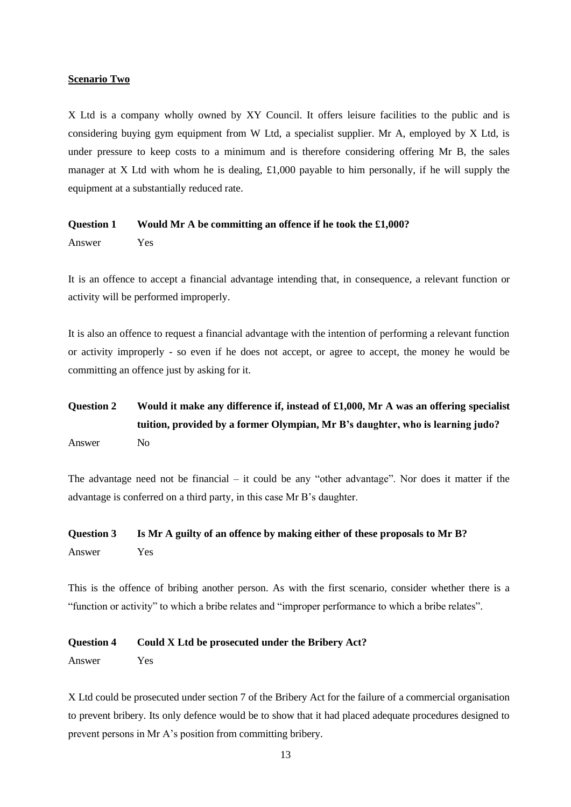## **Scenario Two**

X Ltd is a company wholly owned by XY Council. It offers leisure facilities to the public and is considering buying gym equipment from W Ltd, a specialist supplier. Mr A, employed by X Ltd, is under pressure to keep costs to a minimum and is therefore considering offering Mr B, the sales manager at X Ltd with whom he is dealing,  $\pounds1,000$  payable to him personally, if he will supply the equipment at a substantially reduced rate.

#### **Question 1 Would Mr A be committing an offence if he took the £1,000?**

Answer Yes

It is an offence to accept a financial advantage intending that, in consequence, a relevant function or activity will be performed improperly.

It is also an offence to request a financial advantage with the intention of performing a relevant function or activity improperly - so even if he does not accept, or agree to accept, the money he would be committing an offence just by asking for it.

## **Question 2 Would it make any difference if, instead of £1,000, Mr A was an offering specialist tuition, provided by a former Olympian, Mr B's daughter, who is learning judo?** Answer No

The advantage need not be financial – it could be any "other advantage". Nor does it matter if the advantage is conferred on a third party, in this case Mr B's daughter.

## **Question 3 Is Mr A guilty of an offence by making either of these proposals to Mr B?** Answer Yes

This is the offence of bribing another person. As with the first scenario, consider whether there is a "function or activity" to which a bribe relates and "improper performance to which a bribe relates".

#### **Question 4 Could X Ltd be prosecuted under the Bribery Act?**

Answer Yes

X Ltd could be prosecuted under section 7 of the Bribery Act for the failure of a commercial organisation to prevent bribery. Its only defence would be to show that it had placed adequate procedures designed to prevent persons in Mr A's position from committing bribery.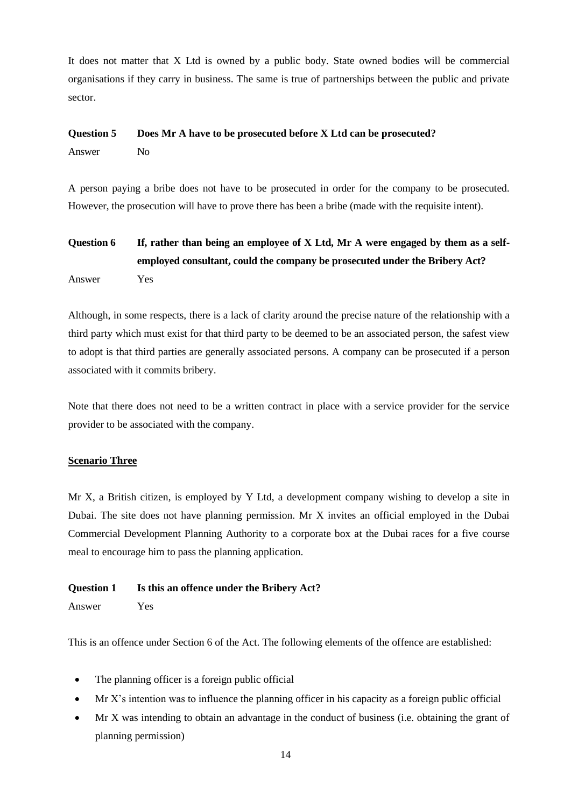It does not matter that X Ltd is owned by a public body. State owned bodies will be commercial organisations if they carry in business. The same is true of partnerships between the public and private sector.

#### **Question 5 Does Mr A have to be prosecuted before X Ltd can be prosecuted?**

Answer No

A person paying a bribe does not have to be prosecuted in order for the company to be prosecuted. However, the prosecution will have to prove there has been a bribe (made with the requisite intent).

## **Question 6 If, rather than being an employee of X Ltd, Mr A were engaged by them as a selfemployed consultant, could the company be prosecuted under the Bribery Act?** Answer Yes

Although, in some respects, there is a lack of clarity around the precise nature of the relationship with a third party which must exist for that third party to be deemed to be an associated person, the safest view to adopt is that third parties are generally associated persons. A company can be prosecuted if a person associated with it commits bribery.

Note that there does not need to be a written contract in place with a service provider for the service provider to be associated with the company.

## **Scenario Three**

Mr X, a British citizen, is employed by Y Ltd, a development company wishing to develop a site in Dubai. The site does not have planning permission. Mr X invites an official employed in the Dubai Commercial Development Planning Authority to a corporate box at the Dubai races for a five course meal to encourage him to pass the planning application.

## **Question 1 Is this an offence under the Bribery Act?**

Answer Yes

This is an offence under Section 6 of the Act. The following elements of the offence are established:

- The planning officer is a foreign public official
- $Mr X's$  intention was to influence the planning officer in his capacity as a foreign public official
- Mr X was intending to obtain an advantage in the conduct of business (i.e. obtaining the grant of planning permission)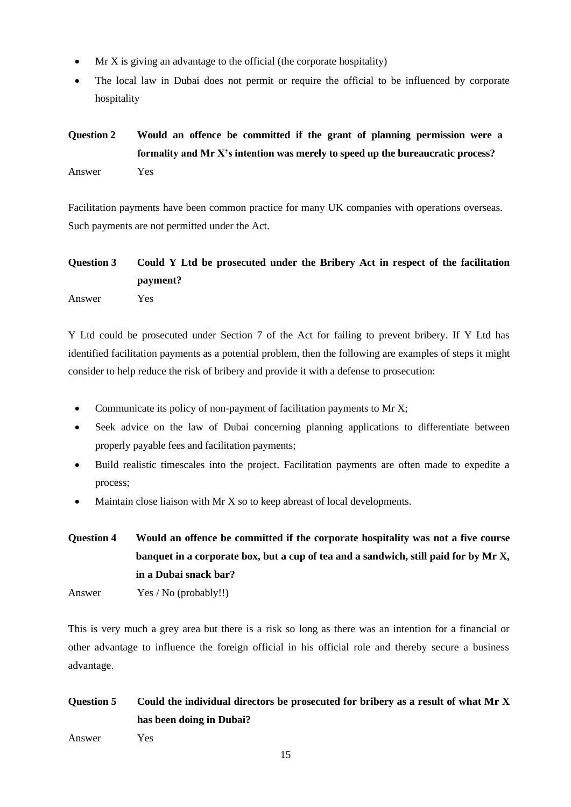- $Mr X$  is giving an advantage to the official (the corporate hospitality)
- The local law in Dubai does not permit or require the official to be influenced by corporate hospitality

## **Question 2 Would an offence be committed if the grant of planning permission were a formality and Mr X's intention was merely to speed up the bureaucratic process?** Answer Yes

Facilitation payments have been common practice for many UK companies with operations overseas. Such payments are not permitted under the Act.

# **Question 3 Could Y Ltd be prosecuted under the Bribery Act in respect of the facilitation payment?**

Answer Yes

Y Ltd could be prosecuted under Section 7 of the Act for failing to prevent bribery. If Y Ltd has identified facilitation payments as a potential problem, then the following are examples of steps it might consider to help reduce the risk of bribery and provide it with a defense to prosecution:

- Communicate its policy of non-payment of facilitation payments to Mr X;
- Seek advice on the law of Dubai concerning planning applications to differentiate between properly payable fees and facilitation payments;
- Build realistic timescales into the project. Facilitation payments are often made to expedite a process;
- Maintain close liaison with Mr  $X$  so to keep abreast of local developments.
- **Question 4 Would an offence be committed if the corporate hospitality was not a five course banquet in a corporate box, but a cup of tea and a sandwich, still paid for by Mr X, in a Dubai snack bar?**
- Answer Yes / No (probably!!)

This is very much a grey area but there is a risk so long as there was an intention for a financial or other advantage to influence the foreign official in his official role and thereby secure a business advantage.

## **Question 5 Could the individual directors be prosecuted for bribery as a result of what Mr X has been doing in Dubai?**

Answer Yes